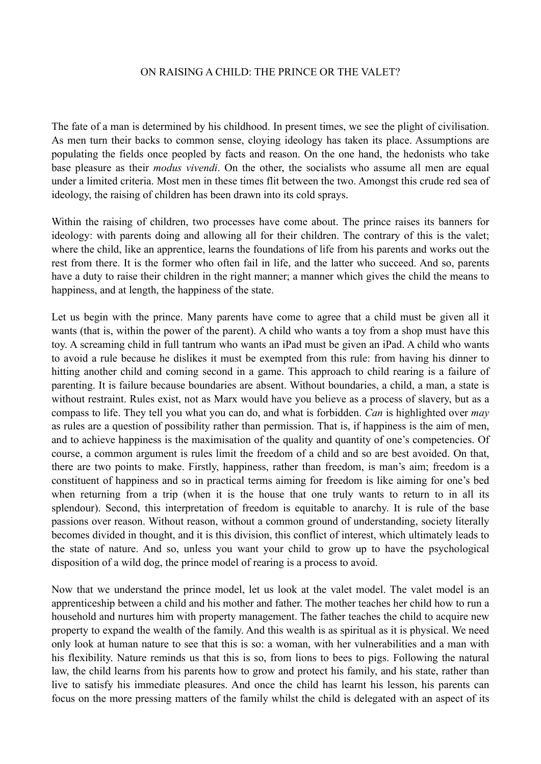## ON RAISING A CHILD: THE PRINCE OR THE VALET?

The fate of a man is determined by his childhood. In present times, we see the plight of civilisation. As men turn their backs to common sense, cloying ideology has taken its place. Assumptions are populating the fields once peopled by facts and reason. On the one hand, the hedonists who take base pleasure as their *modus vivendi*. On the other, the socialists who assume all men are equal under a limited criteria. Most men in these times flit between the two. Amongst this crude red sea of ideology, the raising of children has been drawn into its cold sprays.

Within the raising of children, two processes have come about. The prince raises its banners for ideology: with parents doing and allowing all for their children. The contrary of this is the valet; where the child, like an apprentice, learns the foundations of life from his parents and works out the rest from there. It is the former who often fail in life, and the latter who succeed. And so, parents have a duty to raise their children in the right manner; a manner which gives the child the means to happiness, and at length, the happiness of the state.

Let us begin with the prince. Many parents have come to agree that a child must be given all it wants (that is, within the power of the parent). A child who wants a toy from a shop must have this toy. A screaming child in full tantrum who wants an iPad must be given an iPad. A child who wants to avoid a rule because he dislikes it must be exempted from this rule: from having his dinner to hitting another child and coming second in a game. This approach to child rearing is a failure of parenting. It is failure because boundaries are absent. Without boundaries, a child, a man, a state is without restraint. Rules exist, not as Marx would have you believe as a process of slavery, but as a compass to life. They tell you what you can do, and what is forbidden. *Can* is highlighted over *may* as rules are a question of possibility rather than permission. That is, if happiness is the aim of men, and to achieve happiness is the maximisation of the quality and quantity of one's competencies. Of course, a common argument is rules limit the freedom of a child and so are best avoided. On that, there are two points to make. Firstly, happiness, rather than freedom, is man's aim; freedom is a constituent of happiness and so in practical terms aiming for freedom is like aiming for one's bed when returning from a trip (when it is the house that one truly wants to return to in all its splendour). Second, this interpretation of freedom is equitable to anarchy. It is rule of the base passions over reason. Without reason, without a common ground of understanding, society literally becomes divided in thought, and it is this division, this conflict of interest, which ultimately leads to the state of nature. And so, unless you want your child to grow up to have the psychological disposition of a wild dog, the prince model of rearing is a process to avoid.

Now that we understand the prince model, let us look at the valet model. The valet model is an apprenticeship between a child and his mother and father. The mother teaches her child how to run a household and nurtures him with property management. The father teaches the child to acquire new property to expand the wealth of the family. And this wealth is as spiritual as it is physical. We need only look at human nature to see that this is so: a woman, with her vulnerabilities and a man with his flexibility. Nature reminds us that this is so, from lions to bees to pigs. Following the natural law, the child learns from his parents how to grow and protect his family, and his state, rather than live to satisfy his immediate pleasures. And once the child has learnt his lesson, his parents can focus on the more pressing matters of the family whilst the child is delegated with an aspect of its